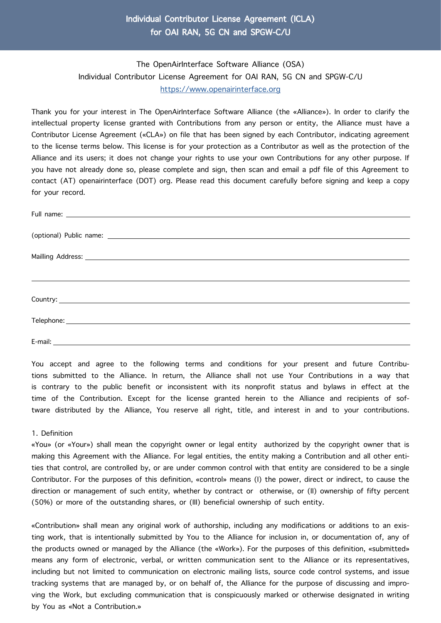# Individual Contributor License Agreement (ICLA) for OAI RAN, 5G CN and SPGW-C/U

## The OpenAirInterface Software Alliance (OSA) Individual Contributor License Agreement for OAI RAN, 5G CN and SPGW-C/U [https://www.openairinterface.org](https://openairinterface.org/)

Thank you for your interest in The OpenAirInterface Software Alliance (the «Alliance»). In order to clarify the intellectual property license granted with Contributions from any person or entity, the Alliance must have a Contributor License Agreement («CLA») on file that has been signed by each Contributor, indicating agreement to the license terms below. This license is for your protection as a Contributor as well as the protection of the Alliance and its users; it does not change your rights to use your own Contributions for any other purpose. If you have not already done so, please complete and sign, then scan and email a pdf file of this Agreement to contact (AT) openairinterface (DOT) org. Please read this document carefully before signing and keep a copy for your record.

| Country: <u>Country: Executive Country:</u> Country: <b>Country:</b> Country: <b>Country:</b> Country: <b>Country: 2006</b> |
|-----------------------------------------------------------------------------------------------------------------------------|
|                                                                                                                             |
|                                                                                                                             |
|                                                                                                                             |
|                                                                                                                             |

You accept and agree to the following terms and conditions for your present and future Contributions submitted to the Alliance. In return, the Alliance shall not use Your Contributions in a way that is contrary to the public benefit or inconsistent with its nonprofit status and bylaws in effect at the time of the Contribution. Except for the license granted herein to the Alliance and recipients of software distributed by the Alliance, You reserve all right, title, and interest in and to your contributions.

#### 1. Definition

«You» (or «Your») shall mean the copyright owner or legal entity authorized by the copyright owner that is making this Agreement with the Alliance. For legal entities, the entity making a Contribution and all other entities that control, are controlled by, or are under common control with that entity are considered to be a single Contributor. For the purposes of this definition, «control» means (I) the power, direct or indirect, to cause the direction or management of such entity, whether by contract or otherwise, or (II) ownership of fifty percent (50%) or more of the outstanding shares, or (III) beneficial ownership of such entity.

«Contribution» shall mean any original work of authorship, including any modifications or additions to an existing work, that is intentionally submitted by You to the Alliance for inclusion in, or documentation of, any of the products owned or managed by the Alliance (the «Work»). For the purposes of this definition, «submitted» means any form of electronic, verbal, or written communication sent to the Alliance or its representatives, including but not limited to communication on electronic mailing lists, source code control systems, and issue tracking systems that are managed by, or on behalf of, the Alliance for the purpose of discussing and improving the Work, but excluding communication that is conspicuously marked or otherwise designated in writing by You as «Not a Contribution.»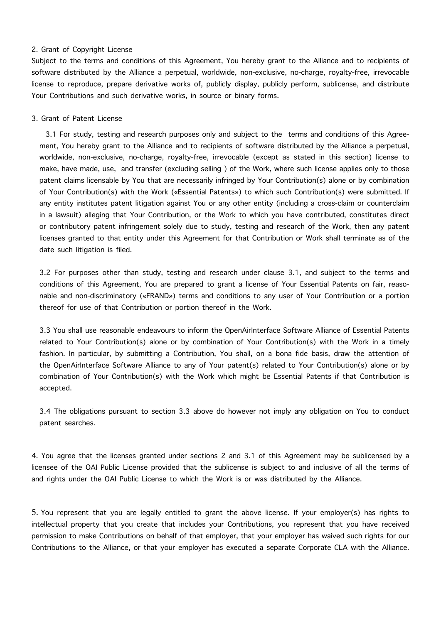#### 2. Grant of Copyright License

Subject to the terms and conditions of this Agreement, You hereby grant to the Alliance and to recipients of software distributed by the Alliance a perpetual, worldwide, non-exclusive, no-charge, royalty-free, irrevocable license to reproduce, prepare derivative works of, publicly display, publicly perform, sublicense, and distribute Your Contributions and such derivative works, in source or binary forms.

### 3. Grant of Patent License

 3.1 For study, testing and research purposes only and subject to the terms and conditions of this Agreement, You hereby grant to the Alliance and to recipients of software distributed by the Alliance a perpetual, worldwide, non-exclusive, no-charge, royalty-free, irrevocable (except as stated in this section) license to make, have made, use, and transfer (excluding selling ) of the Work, where such license applies only to those patent claims licensable by You that are necessarily infringed by Your Contribution(s) alone or by combination of Your Contribution(s) with the Work («Essential Patents») to which such Contribution(s) were submitted. If any entity institutes patent litigation against You or any other entity (including a cross-claim or counterclaim in a lawsuit) alleging that Your Contribution, or the Work to which you have contributed, constitutes direct or contributory patent infringement solely due to study, testing and research of the Work, then any patent licenses granted to that entity under this Agreement for that Contribution or Work shall terminate as of the date such litigation is filed.

3.2 For purposes other than study, testing and research under clause 3.1, and subject to the terms and conditions of this Agreement, You are prepared to grant a license of Your Essential Patents on fair, reasonable and non-discriminatory («FRAND») terms and conditions to any user of Your Contribution or a portion thereof for use of that Contribution or portion thereof in the Work.

3.3 You shall use reasonable endeavours to inform the OpenAirInterface Software Alliance of Essential Patents related to Your Contribution(s) alone or by combination of Your Contribution(s) with the Work in a timely fashion. In particular, by submitting a Contribution, You shall, on a bona fide basis, draw the attention of the OpenAirInterface Software Alliance to any of Your patent(s) related to Your Contribution(s) alone or by combination of Your Contribution(s) with the Work which might be Essential Patents if that Contribution is accepted.

3.4 The obligations pursuant to section 3.3 above do however not imply any obligation on You to conduct patent searches.

4. You agree that the licenses granted under sections 2 and 3.1 of this Agreement may be sublicensed by a licensee of the OAI Public License provided that the sublicense is subject to and inclusive of all the terms of and rights under the OAI Public License to which the Work is or was distributed by the Alliance.

5. You represent that you are legally entitled to grant the above license. If your employer(s) has rights to intellectual property that you create that includes your Contributions, you represent that you have received permission to make Contributions on behalf of that employer, that your employer has waived such rights for our Contributions to the Alliance, or that your employer has executed a separate Corporate CLA with the Alliance.